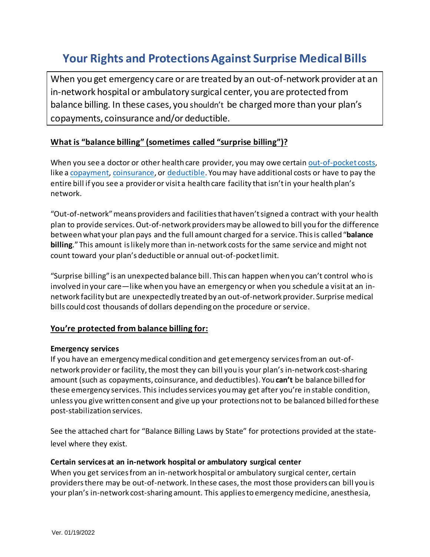# **Your Rights and Protections Against Surprise Medical Bills**

When you get emergency care or are treated by an out-of-network provider at an in-network hospital or ambulatory surgical center, you are protected from balance billing. In these cases, you shouldn't be charged more than your plan's copayments, coinsurance and/or deductible.

## **What is "balance billing" (sometimes called "surprise billing")?**

When you see a doctor or other health care provider, you may owe certain [out-of-pocket costs,](https://www.healthcare.gov/glossary/out-of-pocket-costs/) like a [copayment,](https://www.healthcare.gov/glossary/co-payment/) [coinsurance,](https://www.healthcare.gov/glossary/co-insurance/) or [deductible](https://www.healthcare.gov/glossary/deductible/). You may have additional costs or have to pay the entire bill if you see a provider or visit a health care facility that isn't in your health plan's network.

"Out-of-network" means providers and facilities that haven't signed a contract with your health plan to provide services. Out-of-network providersmay be allowed to bill you for the difference between what your plan pays and the full amount charged for a service. This is called "**balance billing**."This amount is likely more than in-network costs for the same service and might not count toward your plan's deductible or annual out-of-pocket limit.

"Surprise billing" is an unexpected balance bill. This can happen when you can't control who is involved in your care—like when you have an emergency or when you schedule a visit at an innetwork facility but are unexpectedly treated by an out-of-network provider. Surprise medical bills could cost thousands of dollars depending on the procedure or service.

### **You're protected from balance billing for:**

### **Emergency services**

If you have an emergency medical condition and get emergency services from an out-ofnetwork provider or facility, the most they can bill you is your plan's in-network cost-sharing amount (such as copayments, coinsurance, and deductibles). You **can't** be balance billed for these emergency services. This includes services you may get after you're in stable condition, unless you give written consent and give up your protections not to be balanced billed for these post-stabilization services.

See the attached chart for "Balance Billing Laws by State" for protections provided at the statelevel where they exist.

### **Certain services at an in-network hospital or ambulatory surgical center**

When you get services from an in-network hospital or ambulatory surgical center, certain providers there may be out-of-network. In these cases, the most those providers can bill you is your plan's in-network cost-sharing amount. This applies to emergency medicine, anesthesia,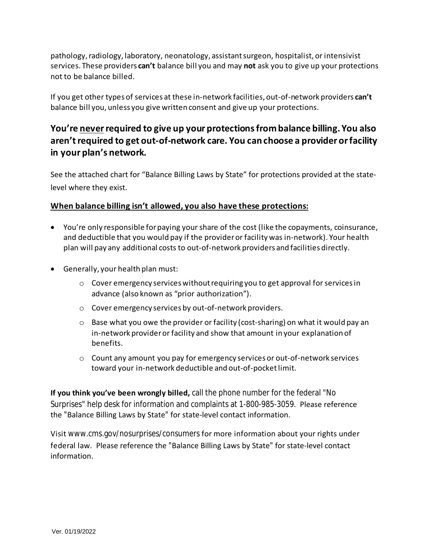pathology, radiology, laboratory, neonatology, assistant surgeon, hospitalist, or intensivist services. These providers **can't** balance bill you and may **not** ask you to give up your protections not to be balance billed.

If you get other types of services at these in-network facilities, out-of-network providers **can't** balance bill you, unless you give written consent and give up your protections.

# You're never required to give up your protections from balance billing. You also **aren'trequired to get out-of-network care. You can choose a provider or facility in your plan's network.**

See the attached chart for "Balance Billing Laws by State" for protections provided at the statelevel where they exist.

### **When balance billing isn't allowed, you also have these protections:**

- You're only responsible for paying your share of the cost (like the copayments, coinsurance, and deductible that you would pay if the provider or facility was in-network). Your health plan will pay any additional costs to out-of-network providers and facilities directly.
- Generally, your health plan must:
	- $\circ$  Cover emergency services without requiring you to get approval for services in advance (also known as "prior authorization").
	- o Cover emergency services by out-of-network providers.
	- $\circ$  Base what you owe the provider or facility (cost-sharing) on what it would pay an in-network provider or facility and show that amount in your explanation of benefits.
	- o Count any amount you pay for emergency services or out-of-network services toward your in-network deductible and out-of-pocket limit.

**If you think you've been wrongly billed,** call the phone number for the federal "No Surprises" help desk for information and complaints at 1-800-985-3059. Please reference the "Balance Billing Laws by State" for state-level contact information.

Visit [www.cms.gov/nosurprises/consumers](http://www.cms.gov/nosurprises/consumers) for more information about your rights under federal law. Please reference the "Balance Billing Laws by State" for state-level contact information.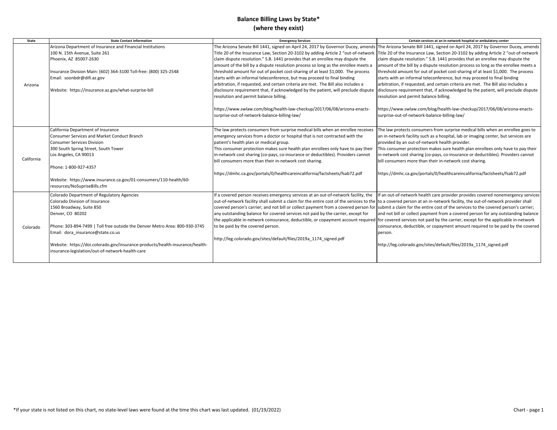| State      | <b>State Contact Information</b>                                                                                                                                                                                                                                                                                                                                                      | <b>Emergency Services</b>                                                                                                                                                                                                                                                                                                                                                                                                                                                                                                                                                                                                                                                                                                                                                                                       | Certain services at an in-network hospital or ambulatory center                                                                                                                                                                                                                                                                                                                                                                                                                                                                                                                                                                                                                                                                                                                                                                                                                                                                                  |
|------------|---------------------------------------------------------------------------------------------------------------------------------------------------------------------------------------------------------------------------------------------------------------------------------------------------------------------------------------------------------------------------------------|-----------------------------------------------------------------------------------------------------------------------------------------------------------------------------------------------------------------------------------------------------------------------------------------------------------------------------------------------------------------------------------------------------------------------------------------------------------------------------------------------------------------------------------------------------------------------------------------------------------------------------------------------------------------------------------------------------------------------------------------------------------------------------------------------------------------|--------------------------------------------------------------------------------------------------------------------------------------------------------------------------------------------------------------------------------------------------------------------------------------------------------------------------------------------------------------------------------------------------------------------------------------------------------------------------------------------------------------------------------------------------------------------------------------------------------------------------------------------------------------------------------------------------------------------------------------------------------------------------------------------------------------------------------------------------------------------------------------------------------------------------------------------------|
| Arizona    | Arizona Department of Insurance and Financial Institutions<br>100 N. 15th Avenue, Suite 261<br>Phoenix, AZ 85007-2630<br>Insurance Division Main: (602) 364-3100 Toll-free: (800) 325-2548<br>Email: soonbdr@difi.az.gov<br>Website: https://insurance.az.gov/what-surprise-bill                                                                                                      | Title 20 of the Insurance Law, Section 20-3102 by adding Article 2 "out-of-network<br>claim dispute resolution." S.B. 1441 provides that an enrollee may dispute the<br>amount of the bill by a dispute resolution process so long as the enrollee meets a<br>threshold amount for out of pocket cost-sharing of at least \$1,000. The process<br>starts with an informal teleconference, but may proceed to final binding<br>arbitration, if requested, and certain criteria are met. The Bill also includes a<br>disclosure requirement that, if acknowledged by the patient, will preclude dispute<br>resolution and permit balance billing.<br>https://www.swlaw.com/blog/health-law-checkup/2017/06/08/arizona-enacts-<br>surprise-out-of-network-balance-billing-law/                                     | The Arizona Senate Bill 1441, signed on April 24, 2017 by Governor Ducey, amends The Arizona Senate Bill 1441, signed on April 24, 2017 by Governor Ducey, amends<br>Title 20 of the Insurance Law, Section 20-3102 by adding Article 2 "out-of-network<br>claim dispute resolution." S.B. 1441 provides that an enrollee may dispute the<br>amount of the bill by a dispute resolution process so long as the enrollee meets a<br>threshold amount for out of pocket cost-sharing of at least \$1,000. The process<br>starts with an informal teleconference, but may proceed to final binding<br>arbitration, if requested, and certain criteria are met. The Bill also includes a<br>disclosure requirement that, if acknowledged by the patient, will preclude dispute<br>resolution and permit balance billing.<br>https://www.swlaw.com/blog/health-law-checkup/2017/06/08/arizona-enacts-<br>surprise-out-of-network-balance-billing-law/ |
| California | California Department of Insurance<br>Consumer Services and Market Conduct Branch<br><b>Consumer Services Division</b><br>300 South Spring Street, South Tower<br>Los Angeles, CA 90013<br>Phone: 1-800-927-4357<br>Website: https://www.insurance.ca.gov/01-consumers/110-health/60-<br>resources/NoSupriseBills.cfm                                                                 | The law protects consumers from surprise medical bills when an enrollee receives<br>emergency services from a doctor or hospital that is not contracted with the<br>patient's health plan or medical group.<br>This consumer protection makes sure health plan enrollees only have to pay their<br>in-network cost sharing (co-pays, co-insurance or deductibles). Providers cannot<br>bill consumers more than their in-network cost sharing.<br>https://dmhc.ca.gov/portals/0/healthcareincalifornia/factsheets/fsab72.pdf                                                                                                                                                                                                                                                                                    | The law protects consumers from surprise medical bills when an enrollee goes to<br>an in-network facility such as a hospital, lab or imaging center, but services are<br>provided by an out-of-network health provider.<br>This consumer protection makes sure health plan enrollees only have to pay their<br>in-network cost sharing (co-pays, co-insurance or deductibles). Providers cannot<br>bill consumers more than their in-network cost sharing.<br>https://dmhc.ca.gov/portals/0/healthcareincalifornia/factsheets/fsab72.pdf                                                                                                                                                                                                                                                                                                                                                                                                         |
| Colorado   | Colorado Department of Regulatory Agencies<br>Colorado Division of Insurance<br>1560 Broadway, Suite 850<br>Denver, CO 80202<br>Phone: 303-894-7499   Toll free outside the Denver Metro Area: 800-930-3745<br>Email: dora insurance@state.co.us<br>Website: https://doi.colorado.gov/insurance-products/health-insurance/health-<br>insurance-legislation/out-of-network-health-care | If a covered person receives emergency services at an out-of-network facility, the<br>out-of-network facility shall submit a claim for the entire cost of the services to the to a covered person at an in-network facility, the out-of-network provider shall<br>covered person's carrier; and not bill or collect payment from a covered person for ssubmit a claim for the entire cost of the services to the covered person's carrier;<br>any outstanding balance for covered services not paid by the carrier, except for<br>the applicable in-network coinsurance, deductible, or copayment account required for covered services not paid by the carrier, except for the applicable in-network<br>to be paid by the covered person.<br>http://leg.colorado.gov/sites/default/files/2019a 1174 signed.pdf | If an out-of-network health care provider provides covered nonemergency services<br>and not bill or collect payment from a covered person for any outstanding balance<br>coinsurance, deductible, or copayment amount required to be paid by the covered<br>person.<br>http://leg.colorado.gov/sites/default/files/2019a 1174 signed.pdf                                                                                                                                                                                                                                                                                                                                                                                                                                                                                                                                                                                                         |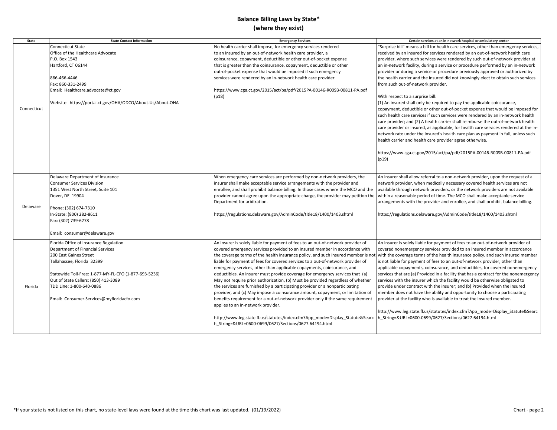| State       | <b>State Contact Information</b>                                                                                                                                                                                                                                                                             | <b>Emergency Services</b>                                                                                                                                                                                                                                                                                                                                                                                                                                                                                                                                                                                                                                                                                                                                                                                                                                                                                                                                                                                                 | Certain services at an in-network hospital or ambulatory center                                                                                                                                                                                                                                                                                                                                                                                                                                                                                                                                                                                                                                                                                                                                                                                                                                                                                                                                                                                                                                                                                                                                                                                                    |
|-------------|--------------------------------------------------------------------------------------------------------------------------------------------------------------------------------------------------------------------------------------------------------------------------------------------------------------|---------------------------------------------------------------------------------------------------------------------------------------------------------------------------------------------------------------------------------------------------------------------------------------------------------------------------------------------------------------------------------------------------------------------------------------------------------------------------------------------------------------------------------------------------------------------------------------------------------------------------------------------------------------------------------------------------------------------------------------------------------------------------------------------------------------------------------------------------------------------------------------------------------------------------------------------------------------------------------------------------------------------------|--------------------------------------------------------------------------------------------------------------------------------------------------------------------------------------------------------------------------------------------------------------------------------------------------------------------------------------------------------------------------------------------------------------------------------------------------------------------------------------------------------------------------------------------------------------------------------------------------------------------------------------------------------------------------------------------------------------------------------------------------------------------------------------------------------------------------------------------------------------------------------------------------------------------------------------------------------------------------------------------------------------------------------------------------------------------------------------------------------------------------------------------------------------------------------------------------------------------------------------------------------------------|
| Connecticut | <b>Connecticut State</b><br>Office of the Healthcare Advocate<br>P.O. Box 1543<br>Hartford, CT 06144<br>866-466-4446<br>Fax: 860-331-2499<br>Email: Healthcare.advocate@ct.gov<br>Website: https://portal.ct.gov/OHA/ODCO/About-Us/About-OHA                                                                 | No health carrier shall impose, for emergency services rendered<br>to an insured by an out-of-network health care provider, a<br>coinsurance, copayment, deductible or other out-of-pocket expense<br>that is greater than the coinsurance, copayment, deductible or other<br>out-of-pocket expense that would be imposed if such emergency<br>services were rendered by an in-network health care provider.<br>https://www.cga.ct.gov/2015/act/pa/pdf/2015PA-00146-R00SB-00811-PA.pdf<br>(p18)                                                                                                                                                                                                                                                                                                                                                                                                                                                                                                                           | "Surprise bill" means a bill for health care services, other than emergency services,<br>received by an insured for services rendered by an out-of-network health care<br>provider, where such services were rendered by such out-of-network provider at<br>an in-network facility, during a service or procedure performed by an in-network<br>provider or during a service or procedure previously approved or authorized by<br>the health carrier and the insured did not knowingly elect to obtain such services<br>from such out-of-network provider.<br>With respect to a surprise bill:<br>(1) An insured shall only be required to pay the applicable coinsurance,<br>copayment, deductible or other out-of-pocket expense that would be imposed for<br>such health care services if such services were rendered by an in-network health<br>care provider; and (2) A health carrier shall reimburse the out-of-network health<br>care provider or insured, as applicable, for health care services rendered at the in-<br>network rate under the insured's health care plan as payment in full, unless such<br>health carrier and health care provider agree otherwise.<br>https://www.cga.ct.gov/2015/act/pa/pdf/2015PA-00146-R00SB-00811-PA.pdf<br>(p19) |
| Delaware    | Delaware Department of Insurance<br><b>Consumer Services Division</b><br>1351 West North Street, Suite 101<br>Dover, DE 19904<br>Phone: (302) 674-7310<br>In-State: (800) 282-8611<br>Fax: (302) 739-6278<br>Email: consumer@delaware.gov                                                                    | When emergency care services are performed by non-network providers, the<br>insurer shall make acceptable service arrangements with the provider and<br>enrollee, and shall prohibit balance billing. In those cases where the MCO and the<br>provider cannot agree upon the appropriate charge, the provider may petition the<br>Department for arbitration.<br>https://regulations.delaware.gov/AdminCode/title18/1400/1403.shtml                                                                                                                                                                                                                                                                                                                                                                                                                                                                                                                                                                                       | An insurer shall allow referral to a non-network provider, upon the request of a<br>network provider, when medically necessary covered health services are not<br>available through network providers, or the network providers are not available<br>within a reasonable period of time. The MCO shall make acceptable service<br>arrangements with the provider and enrollee, and shall prohibit balance billing.<br>https://regulations.delaware.gov/AdminCode/title18/1400/1403.shtml                                                                                                                                                                                                                                                                                                                                                                                                                                                                                                                                                                                                                                                                                                                                                                           |
| Florida     | Florida Office of Insurance Regulation<br>Department of Financial Services<br>200 East Gaines Street<br>Tallahassee, Florida 32399<br>Statewide Toll-Free: 1-877-MY-FL-CFO (1-877-693-5236)<br>Out of State Callers: (850) 413-3089<br>TDD Line: 1-800-640-0886<br>Email: Consumer.Services@myfloridacfo.com | An insurer is solely liable for payment of fees to an out-of-network provider of<br>covered emergency services provided to an insured member in accordance with<br>the coverage terms of the health insurance policy, and such insured member is not<br>liable for payment of fees for covered services to a out-of-network provider of<br>emergency services, other than applicable copayments, coinsurance, and<br>deductibles. An insurer must provide coverage for emergency services that (a)<br>May not require prior authorization, (b) Must be provided regardless of whether<br>the services are furnished by a participating provider or a nonparticipating<br>provider, and (c) May impose a coinsurance amount, copayment, or limitation of<br>benefits requirement for a out-of-network provider only if the same requirement<br>applies to an in-network provider.<br>http://www.leg.state.fl.us/statutes/index.cfm?App_mode=Display_Statute&Searc<br>h String=&URL=0600-0699/0627/Sections/0627.64194.html | An insurer is solely liable for payment of fees to an out-of-network provider of<br>covered nonemergency services provided to an insured member in accordance<br>with the coverage terms of the health insurance policy, and such insured member<br>is not liable for payment of fees to an out-of-network provider, other than<br>applicable copayments, coinsurance, and deductibles, for covered nonemergency<br>services that are (a) Provided in a facility that has a contract for the nonemergency<br>services with the insurer which the facility would be otherwise obligated to<br>provide under contract with the insurer; and (b) Provided when the insured<br>member does not have the ability and opportunity to choose a participating<br>provider at the facility who is available to treat the insured member.<br>http://www.leg.state.fl.us/statutes/index.cfm?App_mode=Display_Statute&Searc<br>h String=&URL=0600-0699/0627/Sections/0627.64194.html                                                                                                                                                                                                                                                                                           |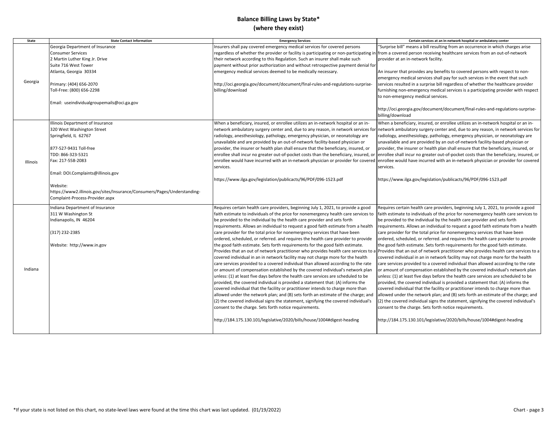| State    | <b>State Contact Information</b>                                         | <b>Emergency Services</b>                                                               | Certain services at an in-network hospital or ambulatory center                       |
|----------|--------------------------------------------------------------------------|-----------------------------------------------------------------------------------------|---------------------------------------------------------------------------------------|
|          | Georgia Department of Insurance                                          | Insurers shall pay covered emergency medical services for covered persons               | "Surprise bill" means a bill resulting from an occurrence in which charges arise      |
|          | <b>Consumer Services</b>                                                 | regardless of whether the provider or facility is participating or non-participating in | from a covered person receiving healthcare services from an out-of-network            |
|          | 2 Martin Luther King Jr. Drive                                           | their network according to this Regulation. Such an insurer shall make such             | provider at an in-network facility.                                                   |
|          | Suite 716 West Tower                                                     | payment without prior authorization and without retrospective payment denial for        |                                                                                       |
|          | Atlanta, Georgia 30334                                                   | emergency medical services deemed to be medically necessary.                            | An insurer that provides any benefits to covered persons with respect to non-         |
|          |                                                                          |                                                                                         | emergency medical services shall pay for such services in the event that such         |
| Georgia  | Primary: (404) 656-2070                                                  | http://oci.georgia.gov/document/document/final-rules-and-regulations-surprise-          | services resulted in a surprise bill regardless of whether the healthcare provider    |
|          | Toll-Free: (800) 656-2298                                                | billing/download                                                                        | furnishing non-emergency medical services is a participating provider with respect    |
|          |                                                                          |                                                                                         | to non-emergency medical services.                                                    |
|          | Email: useindividualgroupemails@oci.ga.gov                               |                                                                                         |                                                                                       |
|          |                                                                          |                                                                                         | http://oci.georgia.gov/document/document/final-rules-and-regulations-surprise-        |
|          |                                                                          |                                                                                         | billing/download                                                                      |
|          | Illinois Department of Insurance                                         | When a beneficiary, insured, or enrollee utilizes an in-network hospital or an in-      | When a beneficiary, insured, or enrollee utilizes an in-network hospital or an in-    |
|          | 320 West Washington Street                                               | network ambulatory surgery center and, due to any reason, in network services for       | network ambulatory surgery center and, due to any reason, in network services for     |
|          | Springfield, IL 62767                                                    | radiology, anesthesiology, pathology, emergency physician, or neonatology are           | radiology, anesthesiology, pathology, emergency physician, or neonatology are         |
|          |                                                                          | unavailable and are provided by an out-of-network facility-based physician or           | unavailable and are provided by an out-of-network facility-based physician or         |
|          | 877-527-9431 Toll-free                                                   | provider, the insurer or health plan shall ensure that the beneficiary, insured, or     | provider, the insurer or health plan shall ensure that the beneficiary, insured, or   |
|          | TDD: 866-323-5321                                                        | enrollee shall incur no greater out-of-pocket costs than the beneficiary, insured, or   | enrollee shall incur no greater out-of-pocket costs than the beneficiary, insured, or |
| Illinois | Fax: 217-558-2083                                                        | enrollee would have incurred with an in-network physician or provider for covered       | enrollee would have incurred with an in-network physician or provider for covered     |
|          |                                                                          | services.                                                                               | services.                                                                             |
|          | Email: DOI.Complaints@illinois.gov                                       |                                                                                         |                                                                                       |
|          |                                                                          | https://www.ilga.gov/legislation/publicacts/96/PDF/096-1523.pdf                         | https://www.ilga.gov/legislation/publicacts/96/PDF/096-1523.pdf                       |
|          | Website:                                                                 |                                                                                         |                                                                                       |
|          | https://www2.illinois.gov/sites/Insurance/Consumers/Pages/Understanding- |                                                                                         |                                                                                       |
|          | Complaint-Process-Provider.aspx                                          |                                                                                         |                                                                                       |
|          | Indiana Department of Insurance                                          | Requires certain health care providers, beginning July 1, 2021, to provide a good       | Requires certain health care providers, beginning July 1, 2021, to provide a good     |
|          | 311 W Washington St                                                      | faith estimate to individuals of the price for nonemergency health care services to     | faith estimate to individuals of the price for nonemergency health care services to   |
|          | Indianapolis, IN 46204                                                   | be provided to the individual by the health care provider and sets forth                | be provided to the individual by the health care provider and sets forth              |
|          |                                                                          | requirements. Allows an individual to request a good faith estimate from a health       | requirements. Allows an individual to request a good faith estimate from a health     |
|          | (317) 232-2385                                                           | care provider for the total price for nonemergency services that have been              | care provider for the total price for nonemergency services that have been            |
|          |                                                                          | ordered, scheduled, or referred. and requires the health care provider to provide       | ordered, scheduled, or referred. and requires the health care provider to provide     |
|          | Website: http://www.in.gov                                               | the good faith estimate. Sets forth requirements for the good faith estimate.           | the good faith estimate. Sets forth requirements for the good faith estimate.         |
|          |                                                                          | Provides that an out of network practitioner who provides health care services to a     | Provides that an out of network practitioner who provides health care services to a   |
|          |                                                                          | covered individual in an in network facility may not charge more for the health         | covered individual in an in network facility may not charge more for the health       |
|          |                                                                          | care services provided to a covered individual than allowed according to the rate       | care services provided to a covered individual than allowed according to the rate     |
| Indiana  |                                                                          | or amount of compensation established by the covered individual's network plan          | or amount of compensation established by the covered individual's network plan        |
|          |                                                                          | unless: (1) at least five days before the health care services are scheduled to be      | unless: (1) at least five days before the health care services are scheduled to be    |
|          |                                                                          | provided, the covered individual is provided a statement that: (A) informs the          | provided, the covered individual is provided a statement that: (A) informs the        |
|          |                                                                          | covered individual that the facility or practitioner intends to charge more than        | covered individual that the facility or practitioner intends to charge more than      |
|          |                                                                          | allowed under the network plan; and (B) sets forth an estimate of the charge; and       | allowed under the network plan; and (B) sets forth an estimate of the charge; and     |
|          |                                                                          | (2) the covered individual signs the statement, signifying the covered individual's     | (2) the covered individual signs the statement, signifying the covered individual's   |
|          |                                                                          | consent to the charge. Sets forth notice requirements.                                  | consent to the charge. Sets forth notice requirements.                                |
|          |                                                                          |                                                                                         |                                                                                       |
|          |                                                                          | http://184.175.130.101/legislative/2020/bills/house/1004#digest-heading                 | http://184.175.130.101/legislative/2020/bills/house/1004#digest-heading               |
|          |                                                                          |                                                                                         |                                                                                       |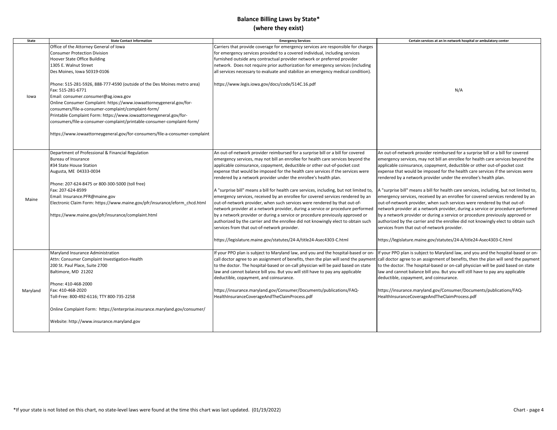| State    | <b>State Contact Information</b>                                                                                                                                                                                                                                                                                                                                                                                                                                                                                                                                                                                                                                                                                                        | <b>Emergency Services</b>                                                                                                                                                                                                                                                                                                                                                                                                                                                                                                                                                                                                                                                                                                                                                                                                                                                                                                                                      | Certain services at an in-network hospital or ambulatory center                                                                                                                                                                                                                                                                                                                                                                                                                                                                                                                                                                                                                                                                                                                                                                                                                                                                                                |
|----------|-----------------------------------------------------------------------------------------------------------------------------------------------------------------------------------------------------------------------------------------------------------------------------------------------------------------------------------------------------------------------------------------------------------------------------------------------------------------------------------------------------------------------------------------------------------------------------------------------------------------------------------------------------------------------------------------------------------------------------------------|----------------------------------------------------------------------------------------------------------------------------------------------------------------------------------------------------------------------------------------------------------------------------------------------------------------------------------------------------------------------------------------------------------------------------------------------------------------------------------------------------------------------------------------------------------------------------------------------------------------------------------------------------------------------------------------------------------------------------------------------------------------------------------------------------------------------------------------------------------------------------------------------------------------------------------------------------------------|----------------------------------------------------------------------------------------------------------------------------------------------------------------------------------------------------------------------------------------------------------------------------------------------------------------------------------------------------------------------------------------------------------------------------------------------------------------------------------------------------------------------------------------------------------------------------------------------------------------------------------------------------------------------------------------------------------------------------------------------------------------------------------------------------------------------------------------------------------------------------------------------------------------------------------------------------------------|
| lowa     | Office of the Attorney General of Iowa<br><b>Consumer Protection Division</b><br><b>Hoover State Office Building</b><br>1305 E. Walnut Street<br>Des Moines, Iowa 50319-0106<br>Phone: 515-281-5926, 888-777-4590 (outside of the Des Moines metro area)<br>Fax: 515-281-6771<br>Email: consumer.consumer@ag.iowa.gov<br>Online Consumer Complaint: https://www.iowaattorneygeneral.gov/for-<br>consumers/file-a-consumer-complaint/complaint-form/<br>Printable Complaint Form: https://www.iowaattorneygeneral.gov/for-<br>consumers/file-a-consumer-complaint/printable-consumer-complaint-form/<br>https://www.iowaattorneygeneral.gov/for-consumers/file-a-consumer-complaint<br>Department of Professional & Financial Regulation | Carriers that provide coverage for emergency services are responsible for charges<br>for emergency services provided to a covered individual, including services<br>furnished outside any contractual provider network or preferred provider<br>network. Does not require prior authorization for emergency services (including<br>all services necessary to evaluate and stabilize an emergency medical condition).<br>https://www.legis.iowa.gov/docs/code/514C.16.pdf<br>An out-of-network provider reimbursed for a surprise bill or a bill for covered                                                                                                                                                                                                                                                                                                                                                                                                    | N/A<br>An out-of-network provider reimbursed for a surprise bill or a bill for covered                                                                                                                                                                                                                                                                                                                                                                                                                                                                                                                                                                                                                                                                                                                                                                                                                                                                         |
| Maine    | Bureau of Insurance<br>#34 State House Station<br>Augusta, ME 04333-0034<br>Phone: 207-624-8475 or 800-300-5000 (toll free)<br>Fax: 207-624-8599<br>Email: Insurance.PFR@maine.gov<br>Electronic Claim Form: https://www.maine.gov/pfr/insurance/eform chcd.html<br>https://www.maine.gov/pfr/insurance/complaint.html                                                                                                                                                                                                                                                                                                                                                                                                                  | emergency services, may not bill an enrollee for health care services beyond the<br>applicable coinsurance, copayment, deductible or other out-of-pocket cost<br>expense that would be imposed for the health care services if the services were<br>rendered by a network provider under the enrollee's health plan.<br>A "surprise bill" means a bill for health care services, including, but not limited to,<br>emergency services, received by an enrollee for covered services rendered by an<br>out-of-network provider, when such services were rendered by that out-of-<br>network provider at a network provider, during a service or procedure performed<br>by a network provider or during a service or procedure previously approved or<br>authorized by the carrier and the enrollee did not knowingly elect to obtain such<br>services from that out-of-network provider.<br>nttps://legislature.maine.gov/statutes/24-A/title24-Asec4303-C.html | emergency services, may not bill an enrollee for health care services beyond the<br>applicable coinsurance, copayment, deductible or other out-of-pocket cost<br>expense that would be imposed for the health care services if the services were<br>rendered by a network provider under the enrollee's health plan.<br>A "surprise bill" means a bill for health care services, including, but not limited to,<br>emergency services, received by an enrollee for covered services rendered by an<br>out-of-network provider, when such services were rendered by that out-of-<br>network provider at a network provider, during a service or procedure performed<br>by a network provider or during a service or procedure previously approved or<br>authorized by the carrier and the enrollee did not knowingly elect to obtain such<br>services from that out-of-network provider.<br>https://legislature.maine.gov/statutes/24-A/title24-Asec4303-C.html |
| Maryland | Maryland Insurance Administration<br>Attn: Consumer Complaint Investigation-Health<br>200 St. Paul Place, Suite 2700<br>Baltimore, MD 21202<br>Phone: 410-468-2000<br>Fax: 410-468-2020<br>Toll-Free: 800-492-6116; TTY 800-735-2258<br>Online Complaint Form: https://enterprise.insurance.maryland.gov/consumer/<br>Website: http://www.insurance.maryland.gov                                                                                                                                                                                                                                                                                                                                                                        | f your PPO plan is subject to Maryland law, and you and the hospital-based or on-<br>call doctor agree to an assignment of benefits, then the plan will send the paymen<br>to the doctor. The hospital-based or on-call physician will be paid based on state<br>law and cannot balance bill you. But you will still have to pay any applicable<br>deductible, copayment, and coinsurance.<br>https://insurance.maryland.gov/Consumer/Documents/publications/FAQ-<br>HealthInsuranceCoverageAndTheClaimProcess.pdf                                                                                                                                                                                                                                                                                                                                                                                                                                             | If your PPO plan is subject to Maryland law, and you and the hospital-based or on-<br>call doctor agree to an assignment of benefits, then the plan will send the payment<br>to the doctor. The hospital-based or on-call physician will be paid based on state<br>law and cannot balance bill you. But you will still have to pay any applicable<br>deductible, copayment, and coinsurance.<br>https://insurance.maryland.gov/Consumer/Documents/publications/FAQ-<br>HealthInsuranceCoverageAndTheClaimProcess.pdf                                                                                                                                                                                                                                                                                                                                                                                                                                           |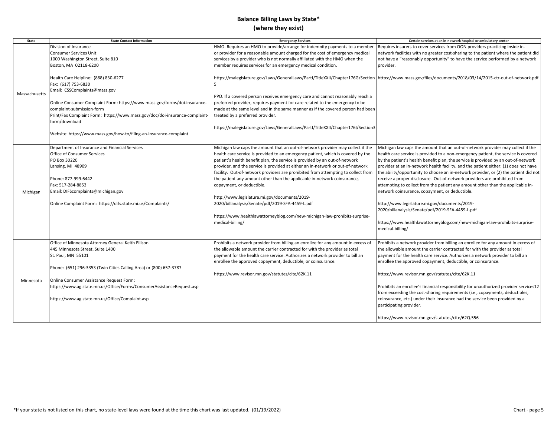| State         | <b>State Contact Information</b>                                            | <b>Emergency Services</b>                                                         | Certain services at an in-network hospital or ambulatory center                       |
|---------------|-----------------------------------------------------------------------------|-----------------------------------------------------------------------------------|---------------------------------------------------------------------------------------|
|               | Division of Insurance                                                       | HMO. Requires an HMO to provide/arrange for indemnity payments to a member        | Requires insurers to cover services from OON providers practicing inside in-          |
|               | <b>Consumer Services Unit</b>                                               | or provider for a reasonable amount charged for the cost of emergency medical     | network facilities with no greater cost-sharing to the patient where the patient did  |
|               | 1000 Washington Street, Suite 810                                           | services by a provider who is not normally affiliated with the HMO when the       | not have a "reasonably opportunity" to have the service performed by a network        |
|               | Boston, MA 02118-6200                                                       | member requires services for an emergency medical condition.                      | provider.                                                                             |
|               | Health Care Helpline: (888) 830-6277<br>Fax: (617) 753-6830                 | https://malegislature.gov/Laws/GeneralLaws/Partl/TitleXXII/Chapter176G/Section    | https://www.mass.gov/files/documents/2018/03/14/2015-ctr-out-of-network.pdf           |
| Massachusetts | Email: CSSComplaints@mass.gov                                               |                                                                                   |                                                                                       |
|               |                                                                             | PPO. If a covered person receives emergency care and cannot reasonably reach a    |                                                                                       |
|               | Online Consumer Complaint Form: https://www.mass.gov/forms/doi-insurance-   | preferred provider, requires payment for care related to the emergency to be      |                                                                                       |
|               | complaint-submission-form                                                   | made at the same level and in the same manner as if the covered person had been   |                                                                                       |
|               | Print/Fax Complaint Form: https://www.mass.gov/doc/doi-insurance-complaint- | treated by a preferred provider.                                                  |                                                                                       |
|               | form/download                                                               |                                                                                   |                                                                                       |
|               |                                                                             | https://malegislature.gov/Laws/GeneralLaws/Partl/TitleXXII/Chapter176I/Section3   |                                                                                       |
|               | Website: https://www.mass.gov/how-to/filing-an-insurance-complaint          |                                                                                   |                                                                                       |
|               |                                                                             |                                                                                   |                                                                                       |
|               | Department of Insurance and Financial Services                              | Michigan law caps the amount that an out-of-network provider may collect if the   | Michigan law caps the amount that an out-of-network provider may collect if the       |
|               | Office of Consumer Services                                                 | health care service is provided to an emergency patient, which is covered by the  | health care service is provided to a non-emergency patient, the service is covered    |
|               | PO Box 30220                                                                | patient's health benefit plan, the service is provided by an out-of-network       | by the patient's health benefit plan, the service is provided by an out-of-network    |
|               | Lansing, MI 48909                                                           | provider, and the service is provided at either an in-network or out-of-network   | provider at an in-network health facility, and the patient either: (1) does not have  |
|               |                                                                             | facility. Out-of-network providers are prohibited from attempting to collect from | the ability/opportunity to choose an in-network provider, or (2) the patient did not  |
|               | Phone: 877-999-6442                                                         | the patient any amount other than the applicable in-network coinsurance,          | receive a proper disclosure. Out-of-network providers are prohibited from             |
|               | Fax: 517-284-8853                                                           | copayment, or deductible.                                                         | attempting to collect from the patient any amount other than the applicable in-       |
| Michigan      | Email: DIFScomplaints@michigan.gov                                          |                                                                                   | network coinsurance, copayment, or deductible.                                        |
|               |                                                                             | http://www.legislature.mi.gov/documents/2019-                                     |                                                                                       |
|               | Online Complaint Form: https://difs.state.mi.us/Complaints/                 | 2020/billanalysis/Senate/pdf/2019-SFA-4459-L.pdf                                  | http://www.legislature.mi.gov/documents/2019-                                         |
|               |                                                                             |                                                                                   | 2020/billanalysis/Senate/pdf/2019-SFA-4459-L.pdf                                      |
|               |                                                                             | https://www.healthlawattorneyblog.com/new-michigan-law-prohibits-surprise-        |                                                                                       |
|               |                                                                             | medical-billing/                                                                  | https://www.healthlawattorneyblog.com/new-michigan-law-prohibits-surprise-            |
|               |                                                                             |                                                                                   | medical-billing/                                                                      |
|               |                                                                             |                                                                                   |                                                                                       |
|               | Office of Minnesota Attorney General Keith Ellison                          | Prohibits a network provider from billing an enrollee for any amount in excess of | Prohibits a network provider from billing an enrollee for any amount in excess of     |
|               | 445 Minnesota Street, Suite 1400                                            | the allowable amount the carrier contracted for with the provider as total        | the allowable amount the carrier contracted for with the provider as total            |
|               | St. Paul, MN 55101                                                          | payment for the health care service. Authorizes a network provider to bill an     | payment for the health care service. Authorizes a network provider to bill an         |
|               |                                                                             | enrollee the approved copayment, deductible, or coinsurance.                      | enrollee the approved copayment, deductible, or coinsurance.                          |
|               | Phone: (651) 296-3353 (Twin Cities Calling Area) or (800) 657-3787          |                                                                                   |                                                                                       |
|               |                                                                             | https://www.revisor.mn.gov/statutes/cite/62K.11                                   | https://www.revisor.mn.gov/statutes/cite/62K.11                                       |
| Minnesota     | Online Consumer Assistance Request Form:                                    |                                                                                   |                                                                                       |
|               | https://www.ag.state.mn.us/Office/Forms/ConsumerAssistanceRequest.asp       |                                                                                   | Prohibits an enrollee's financial responsibility for unauthorized provider services12 |
|               |                                                                             |                                                                                   | from exceeding the cost-sharing requirements (i.e., copayments, deductibles,          |
|               | https://www.ag.state.mn.us/Office/Complaint.asp                             |                                                                                   | coinsurance, etc.) under their insurance had the service been provided by a           |
|               |                                                                             |                                                                                   | participating provider.                                                               |
|               |                                                                             |                                                                                   |                                                                                       |
|               |                                                                             |                                                                                   | https://www.revisor.mn.gov/statutes/cite/62Q.556                                      |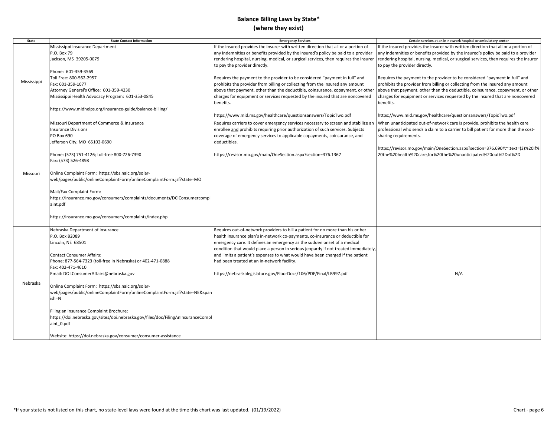| State       | <b>State Contact Information</b>                                                 | <b>Emergency Services</b>                                                             | Certain services at an in-network hospital or ambulatory center                       |
|-------------|----------------------------------------------------------------------------------|---------------------------------------------------------------------------------------|---------------------------------------------------------------------------------------|
|             | Mississippi Insurance Department                                                 | If the insured provides the insurer with written direction that all or a portion of   | If the insured provides the insurer with written direction that all or a portion of   |
|             | P.O. Box 79                                                                      | any indemnities or benefits provided by the insured's policy be paid to a provider    | any indemnities or benefits provided by the insured's policy be paid to a provider    |
|             | Jackson, MS 39205-0079                                                           | rendering hospital, nursing, medical, or surgical services, then requires the insurer | rendering hospital, nursing, medical, or surgical services, then requires the insurer |
|             |                                                                                  | to pay the provider directly.                                                         | to pay the provider directly.                                                         |
|             | Phone: 601-359-3569                                                              |                                                                                       |                                                                                       |
|             | Toll Free: 800-562-2957                                                          | Requires the payment to the provider to be considered "payment in full" and           | Requires the payment to the provider to be considered "payment in full" and           |
| Mississippi | Fax: 601-359-1077                                                                | prohibits the provider from billing or collecting from the insured any amount         | prohibits the provider from billing or collecting from the insured any amount         |
|             | Attorney General's Office: 601-359-4230                                          | above that payment, other than the deductible, coinsurance, copayment, or other       | above that payment, other than the deductible, coinsurance, copayment, or other       |
|             | Mississippi Health Advocacy Program: 601-353-0845                                | charges for equipment or services requested by the insured that are noncovered        | charges for equipment or services requested by the insured that are noncovered        |
|             |                                                                                  | benefits.                                                                             | benefits.                                                                             |
|             | https://www.midhelps.org/insurance-guide/balance-billing/                        |                                                                                       |                                                                                       |
|             |                                                                                  | https://www.mid.ms.gov/healthcare/questionsanswers/TopicTwo.pdf                       | https://www.mid.ms.gov/healthcare/questionsanswers/TopicTwo.pdf                       |
|             | Missouri Department of Commerce & Insurance                                      | Requires carriers to cover emergency services necessary to screen and stabilize an    | When unanticipated out-of-network care is provide, prohibits the health care          |
|             | nsurance Divisions                                                               | enrollee and prohibits requiring prior authorization of such services. Subjects       | professional who sends a claim to a carrier to bill patient for more than the cost-   |
|             | PO Box 690                                                                       | coverage of emergency services to applicable copayments, coinsurance, and             | sharing requirements.                                                                 |
|             | lefferson City, MO 65102-0690                                                    | deductibles.                                                                          |                                                                                       |
|             |                                                                                  |                                                                                       | https://revisor.mo.gov/main/OneSection.aspx?section=376.690#:~:text=(3)%20If%         |
|             | Phone: (573) 751-4126; toll-free 800-726-7390                                    | https://revisor.mo.gov/main/OneSection.aspx?section=376.1367                          | 20the%20health%20care,for%20the%20unanticipated%20out%2Dof%2D                         |
|             | Fax: (573) 526-4898                                                              |                                                                                       |                                                                                       |
|             |                                                                                  |                                                                                       |                                                                                       |
| Missouri    | Online Complaint Form: https://sbs.naic.org/solar-                               |                                                                                       |                                                                                       |
|             | web/pages/public/onlineComplaintForm/onlineComplaintForm.jsf?state=MO            |                                                                                       |                                                                                       |
|             |                                                                                  |                                                                                       |                                                                                       |
|             | Mail/Fax Complaint Form:                                                         |                                                                                       |                                                                                       |
|             | https://insurance.mo.gov/consumers/complaints/documents/DCIConsumercompl         |                                                                                       |                                                                                       |
|             | aint.pdf                                                                         |                                                                                       |                                                                                       |
|             |                                                                                  |                                                                                       |                                                                                       |
|             | https://insurance.mo.gov/consumers/complaints/index.php                          |                                                                                       |                                                                                       |
|             |                                                                                  |                                                                                       |                                                                                       |
|             | Nebraska Department of Insurance                                                 | Requires out-of-network providers to bill a patient for no more than his or her       |                                                                                       |
|             | P.O. Box 82089                                                                   | health insurance plan's in-network co-payments, co-insurance or deductible for        |                                                                                       |
|             | Lincoln, NE 68501                                                                | emergency care. It defines an emergency as the sudden onset of a medical              |                                                                                       |
|             |                                                                                  | condition that would place a person in serious jeopardy if not treated immediately,   |                                                                                       |
|             | Contact Consumer Affairs:                                                        | and limits a patient's expenses to what would have been charged if the patient        |                                                                                       |
|             | Phone: 877-564-7323 (toll-free in Nebraska) or 402-471-0888                      | had been treated at an in-network facility.                                           |                                                                                       |
|             | Fax: 402-471-4610                                                                |                                                                                       |                                                                                       |
|             | Email: DOI.ConsumerAffairs@nebraska.gov                                          | https://nebraskalegislature.gov/FloorDocs/106/PDF/Final/LB997.pdf                     | N/A                                                                                   |
| Nebraska    |                                                                                  |                                                                                       |                                                                                       |
|             | Online Complaint Form: https://sbs.naic.org/solar-                               |                                                                                       |                                                                                       |
|             | web/pages/public/onlineComplaintForm/onlineComplaintForm.jsf?state=NE&span       |                                                                                       |                                                                                       |
|             | ish=N                                                                            |                                                                                       |                                                                                       |
|             |                                                                                  |                                                                                       |                                                                                       |
|             | Filing an Insurance Complaint Brochure:                                          |                                                                                       |                                                                                       |
|             | https://doi.nebraska.gov/sites/doi.nebraska.gov/files/doc/FilingAnInsuranceCompl |                                                                                       |                                                                                       |
|             | aint 0.pdf                                                                       |                                                                                       |                                                                                       |
|             |                                                                                  |                                                                                       |                                                                                       |
|             | Website: https://doi.nebraska.gov/consumer/consumer-assistance                   |                                                                                       |                                                                                       |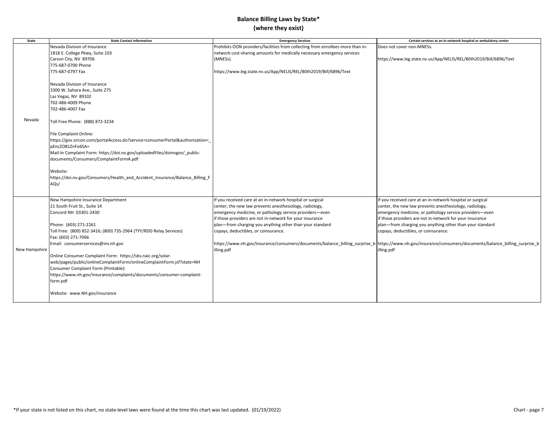| State         | <b>State Contact Information</b>                                                                                                                                                                                                                                                                                                                                                                                                                                                                                             | <b>Emergency Services</b>                                                       | Certain services at an in-network hospital or ambulatory center                                                                                                       |
|---------------|------------------------------------------------------------------------------------------------------------------------------------------------------------------------------------------------------------------------------------------------------------------------------------------------------------------------------------------------------------------------------------------------------------------------------------------------------------------------------------------------------------------------------|---------------------------------------------------------------------------------|-----------------------------------------------------------------------------------------------------------------------------------------------------------------------|
|               | Nevada Division of Insurance                                                                                                                                                                                                                                                                                                                                                                                                                                                                                                 | Prohibits OON providers/facilities from collecting from enrollees more than in- | Does not cover non-MNESs.                                                                                                                                             |
|               | 1818 E. College Pkwy, Suite 103                                                                                                                                                                                                                                                                                                                                                                                                                                                                                              | network cost-sharing amounts for medically necessary emergency services         |                                                                                                                                                                       |
|               | Carson City, NV 89706                                                                                                                                                                                                                                                                                                                                                                                                                                                                                                        | (MNESs).                                                                        | https://www.leg.state.nv.us/App/NELIS/REL/80th2019/Bill/6896/Text                                                                                                     |
|               | 775-687-0700 Phone                                                                                                                                                                                                                                                                                                                                                                                                                                                                                                           |                                                                                 |                                                                                                                                                                       |
|               | 775-687-0797 Fax                                                                                                                                                                                                                                                                                                                                                                                                                                                                                                             | https://www.leg.state.nv.us/App/NELIS/REL/80th2019/Bill/6896/Text               |                                                                                                                                                                       |
| Nevada        | Nevada Division of Insurance<br>3300 W. Sahara Ave., Suite 275<br>Las Vegas, NV 89102<br>702-486-4009 Phone<br>702-486-4007 Fax<br>Toll Free Phone: (888) 872-3234<br>File Complaint Online:<br>https://gov.sircon.com/portalAccess.do?service=consumerPortal&authorization=<br>pEncZO81ZnFo6SA=<br>Mail-In Complaint Form: https://doi.nv.gov/uploadedFiles/doinvgov/ public-<br>documents/Consumers/ComplaintFormA.pdf<br>Website:<br>https://doi.nv.gov/Consumers/Health and Accident Insurance/Balance Billing F<br>AQs/ |                                                                                 |                                                                                                                                                                       |
|               | New Hampshire Insurance Department                                                                                                                                                                                                                                                                                                                                                                                                                                                                                           | f you received care at an in-network hospital or surgical                       | If you received care at an in-network hospital or surgical                                                                                                            |
|               | 21 South Fruit St., Suite 14                                                                                                                                                                                                                                                                                                                                                                                                                                                                                                 | center, the new law prevents anesthesiology, radiology,                         | center, the new law prevents anesthesiology, radiology,                                                                                                               |
|               | Concord NH 03301-2430                                                                                                                                                                                                                                                                                                                                                                                                                                                                                                        | emergency medicine, or pathology service providers-even                         | emergency medicine, or pathology service providers-even                                                                                                               |
|               |                                                                                                                                                                                                                                                                                                                                                                                                                                                                                                                              | f those providers are not in-network for your insurance                         | if those providers are not in-network for your insurance                                                                                                              |
|               | Phone: (603) 271-2261                                                                                                                                                                                                                                                                                                                                                                                                                                                                                                        | plan-from charging you anything other than your standard                        | plan-from charging you anything other than your standard                                                                                                              |
|               | Toll Free: (800) 852-3416; (800) 735-2964 (TYY/RDD Relay Services)                                                                                                                                                                                                                                                                                                                                                                                                                                                           | copays, deductibles, or coinsurance.                                            | copays, deductibles, or coinsurance.                                                                                                                                  |
|               | Fax: (603) 271-7066                                                                                                                                                                                                                                                                                                                                                                                                                                                                                                          |                                                                                 |                                                                                                                                                                       |
|               | Email: consumerservices@ins.nh.gov                                                                                                                                                                                                                                                                                                                                                                                                                                                                                           | illing.pdf                                                                      | https://www.nh.gov/insurance/consumers/documents/balance billing surprise b https://www.nh.gov/insurance/consumers/documents/balance billing surprise b<br>illing.pdf |
| New Hampshire | Online Consumer Complaint Form: https://sbs.naic.org/solar-                                                                                                                                                                                                                                                                                                                                                                                                                                                                  |                                                                                 |                                                                                                                                                                       |
|               | web/pages/public/onlineComplaintForm/onlineComplaintForm.jsf?state=NH                                                                                                                                                                                                                                                                                                                                                                                                                                                        |                                                                                 |                                                                                                                                                                       |
|               | Consumer Complaint Form (Printable):                                                                                                                                                                                                                                                                                                                                                                                                                                                                                         |                                                                                 |                                                                                                                                                                       |
|               | https://www.nh.gov/insurance/complaints/documents/consumer-complaint-                                                                                                                                                                                                                                                                                                                                                                                                                                                        |                                                                                 |                                                                                                                                                                       |
|               | form.pdf                                                                                                                                                                                                                                                                                                                                                                                                                                                                                                                     |                                                                                 |                                                                                                                                                                       |
|               | Website: www.NH.gov/insurance                                                                                                                                                                                                                                                                                                                                                                                                                                                                                                |                                                                                 |                                                                                                                                                                       |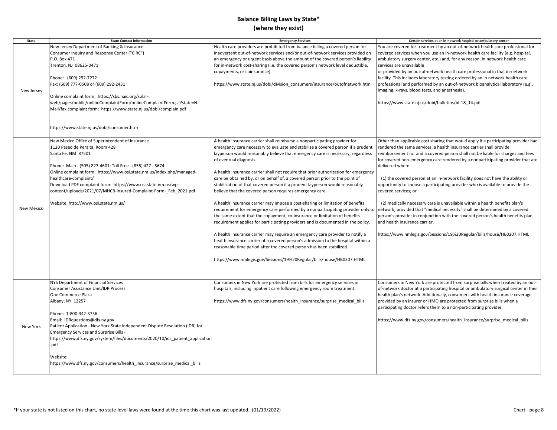| State      | <b>State Contact Information</b>                                                      | <b>Emergency Services</b>                                                                                                                                    | Certain services at an in-network hospital or ambulatory center                                                                                                 |
|------------|---------------------------------------------------------------------------------------|--------------------------------------------------------------------------------------------------------------------------------------------------------------|-----------------------------------------------------------------------------------------------------------------------------------------------------------------|
|            | New Jersey Department of Banking & Insurance                                          | Health care providers are prohibited from balance billing a covered person for                                                                               | You are covered for treatment by an out-of-network health care professional for                                                                                 |
|            | Consumer Inquiry and Response Center ("CIRC")                                         | inadvertent out-of-network services and/or out-of-network services provided on                                                                               | covered services when you use an in-network health care facility (e.g. hospital,                                                                                |
|            | P.O. Box 471                                                                          | an emergency or urgent basis above the amount of the covered person's liability                                                                              | ambulatory surgery center, etc.) and, for any reason, in network health care                                                                                    |
|            | Trenton, NJ 08625-0471                                                                | for in-network cost-sharing (i.e. the covered person's network level deductible,                                                                             | services are unavailable                                                                                                                                        |
|            |                                                                                       |                                                                                                                                                              |                                                                                                                                                                 |
|            |                                                                                       | copayments, or coinsurance).                                                                                                                                 | or provided by an out-of-network health care professional in that in-network                                                                                    |
|            | Phone: (609) 292-7272                                                                 |                                                                                                                                                              | facility. This includes laboratory testing ordered by an in network health care                                                                                 |
|            | Fax: (609) 777-0508 or (609) 292-2431                                                 | https://www.state.nj.us/dobi/division consumers/insurance/outofnetwork.html                                                                                  | professional and performed by an out-of-network bioanalytical laboratory (e.g.,                                                                                 |
| New Jersey |                                                                                       |                                                                                                                                                              | imaging, x-rays, blood tests, and anesthesia).                                                                                                                  |
|            | Online complaint form: https://sbs.naic.org/solar-                                    |                                                                                                                                                              |                                                                                                                                                                 |
|            | web/pages/public/onlineComplaintForm/onlineComplaintForm.jsf?state=NJ                 |                                                                                                                                                              | https://www.state.nj.us/dobi/bulletins/blt18_14.pdf                                                                                                             |
|            | Mail/fax complaint form: https://www.state.nj.us/dobi/complain.pdf                    |                                                                                                                                                              |                                                                                                                                                                 |
|            |                                                                                       |                                                                                                                                                              |                                                                                                                                                                 |
|            |                                                                                       |                                                                                                                                                              |                                                                                                                                                                 |
|            | https://www.state.nj.us/dobi/consumer.htm                                             |                                                                                                                                                              |                                                                                                                                                                 |
|            |                                                                                       |                                                                                                                                                              |                                                                                                                                                                 |
|            | New Mexico Office of Superintendent of Insurance                                      | A health insurance carrier shall reimburse a nonparticipating provider for                                                                                   | Other than applicable cost sharing that would apply if a participating provider had                                                                             |
|            | 1120 Paseo de Peralta, Room 428                                                       | emergency care necessary to evaluate and stabilize a covered person if a prudent                                                                             | rendered the same services, a health insurance carrier shall provide                                                                                            |
|            | Santa Fe, NM 87501                                                                    | layperson would reasonably believe that emergency care is necessary, regardless                                                                              | reimbursement for and a covered person shall not be liable for charges and fees                                                                                 |
|            |                                                                                       | of eventual diagnosis.                                                                                                                                       | for covered non-emergency care rendered by a nonparticipating provider that are                                                                                 |
|            | Phone: Main - (505) 827-4601; Toll Free - (855) 427 - 5674                            |                                                                                                                                                              | delivered when:                                                                                                                                                 |
|            | Online complaint form: https://www.osi.state.nm.us/index.php/managed-                 | A health insurance carrier shall not require that prior authorization for emergency                                                                          |                                                                                                                                                                 |
|            |                                                                                       |                                                                                                                                                              |                                                                                                                                                                 |
|            | healthcare-complaint/<br>Download PDF complaint form: https://www.osi.state.nm.us/wp- | care be obtained by, or on behalf of, a covered person prior to the point of<br>stabilization of that covered person if a prudent layperson would reasonably | (1) the covered person at an in-network facility does not have the ability or<br>opportunity to choose a participating provider who is available to provide the |
|            |                                                                                       |                                                                                                                                                              |                                                                                                                                                                 |
|            | content/uploads/2021/07/MHCB-Insured-Complaint-Form- Feb 2021.pdf                     | believe that the covered person requires emergency care.                                                                                                     | covered services; or                                                                                                                                            |
|            |                                                                                       |                                                                                                                                                              |                                                                                                                                                                 |
| New Mexico | Website: http://www.osi.state.nm.us/                                                  | A health insurance carrier may impose a cost-sharing or limitation of benefits                                                                               | (2) medically necessary care is unavailable within a health benefits plan's                                                                                     |
|            |                                                                                       | requirement for emergency care performed by a nonparticipating provider only to                                                                              | network; provided that "medical necessity" shall be determined by a covered                                                                                     |
|            |                                                                                       | the same extent that the copayment, co-insurance or limitation of benefits                                                                                   | person's provider in conjunction with the covered person's health benefits plan                                                                                 |
|            |                                                                                       | requirement applies for participating providers and is documented in the policy.                                                                             | and health insurance carrier.                                                                                                                                   |
|            |                                                                                       |                                                                                                                                                              |                                                                                                                                                                 |
|            |                                                                                       | A health insurance carrier may require an emergency care provider to notify a                                                                                | https://www.nmlegis.gov/Sessions/19%20Regular/bills/house/HB0207.HTML                                                                                           |
|            |                                                                                       | health insurance carrier of a covered person's admission to the hospital within a                                                                            |                                                                                                                                                                 |
|            |                                                                                       | reasonable time period after the covered person has been stabilized.                                                                                         |                                                                                                                                                                 |
|            |                                                                                       |                                                                                                                                                              |                                                                                                                                                                 |
|            |                                                                                       | https://www.nmlegis.gov/Sessions/19%20Regular/bills/house/HB0207.HTML                                                                                        |                                                                                                                                                                 |
|            |                                                                                       |                                                                                                                                                              |                                                                                                                                                                 |
|            |                                                                                       |                                                                                                                                                              |                                                                                                                                                                 |
|            |                                                                                       |                                                                                                                                                              |                                                                                                                                                                 |
|            | NYS Department of Financial Services                                                  | Consumers in New York are protected from bills for emergency services in                                                                                     | Consumers in New York are protected from surprise bills when treated by an out-                                                                                 |
|            | <b>Consumer Assistance Unit/IDR Process</b>                                           | hospitals, including inpatient care following emergency room treatment.                                                                                      | of-network doctor at a participating hospital or ambulatory surgical center in their                                                                            |
|            | One Commerce Plaza                                                                    |                                                                                                                                                              | health plan's network. Additionally, consumers with health insurance coverage                                                                                   |
|            | Albany, NY 12257                                                                      | https://www.dfs.ny.gov/consumers/health_insurance/surprise_medical_bills                                                                                     | provided by an insurer or HMO are protected from surprise bills when a                                                                                          |
|            |                                                                                       |                                                                                                                                                              | participating doctor refers them to a non-participating provider.                                                                                               |
|            | Phone: 1-800-342-3736                                                                 |                                                                                                                                                              |                                                                                                                                                                 |
|            | Email: IDRquestions@dfs.ny.gov                                                        |                                                                                                                                                              | https://www.dfs.ny.gov/consumers/health insurance/surprise medical bills                                                                                        |
| New York   | Patient Application - New York State Independent Dispute Resolution (IDR) for         |                                                                                                                                                              |                                                                                                                                                                 |
|            | <b>Emergency Services and Surprise Bills -</b>                                        |                                                                                                                                                              |                                                                                                                                                                 |
|            | https://www.dfs.ny.gov/system/files/documents/2020/10/idr_patient_application         |                                                                                                                                                              |                                                                                                                                                                 |
| .pdf       |                                                                                       |                                                                                                                                                              |                                                                                                                                                                 |
|            |                                                                                       |                                                                                                                                                              |                                                                                                                                                                 |
|            | Website:                                                                              |                                                                                                                                                              |                                                                                                                                                                 |
|            | https://www.dfs.ny.gov/consumers/health insurance/surprise medical bills              |                                                                                                                                                              |                                                                                                                                                                 |
|            |                                                                                       |                                                                                                                                                              |                                                                                                                                                                 |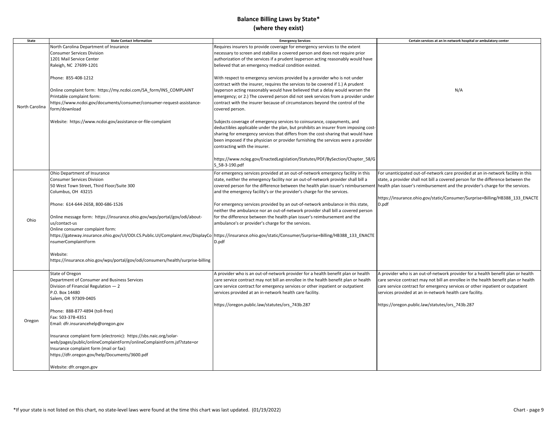| State          | <b>State Contact Information</b>                                                | <b>Emergency Services</b>                                                                                                                                       | Certain services at an in-network hospital or ambulatory center                     |
|----------------|---------------------------------------------------------------------------------|-----------------------------------------------------------------------------------------------------------------------------------------------------------------|-------------------------------------------------------------------------------------|
|                | North Carolina Department of Insurance                                          | Requires insurers to provide coverage for emergency services to the extent                                                                                      |                                                                                     |
|                | <b>Consumer Services Division</b>                                               |                                                                                                                                                                 |                                                                                     |
|                |                                                                                 | necessary to screen and stabilize a covered person and does not require prior                                                                                   |                                                                                     |
|                | 1201 Mail Service Center                                                        | authorization of the services if a prudent layperson acting reasonably would have                                                                               |                                                                                     |
|                | Raleigh, NC 27699-1201                                                          | believed that an emergency medical condition existed.                                                                                                           |                                                                                     |
|                | Phone: 855-408-1212                                                             | With respect to emergency services provided by a provider who is not under                                                                                      |                                                                                     |
|                |                                                                                 | contract with the insurer, requires the services to be covered if 1.) A prudent                                                                                 |                                                                                     |
|                | Online complaint form: https://my.ncdoi.com/SA form/INS COMPLAINT               | layperson acting reasonably would have believed that a delay would worsen the                                                                                   | N/A                                                                                 |
|                | Printable complaint form:                                                       | emergency; or 2.) The covered person did not seek services from a provider under                                                                                |                                                                                     |
|                | https://www.ncdoi.gov/documents/consumer/consumer-request-assistance-           | contract with the insurer because of circumstances beyond the control of the                                                                                    |                                                                                     |
| North Carolina | form/download                                                                   | covered person.                                                                                                                                                 |                                                                                     |
|                |                                                                                 |                                                                                                                                                                 |                                                                                     |
|                | Website: https://www.ncdoi.gov/assistance-or-file-complaint                     | Subjects coverage of emergency services to coinsurance, copayments, and                                                                                         |                                                                                     |
|                |                                                                                 | deductibles applicable under the plan, but prohibits an insurer from imposing cost-                                                                             |                                                                                     |
|                |                                                                                 | sharing for emergency services that differs from the cost-sharing that would have                                                                               |                                                                                     |
|                |                                                                                 | been imposed if the physician or provider furnishing the services were a provider                                                                               |                                                                                     |
|                |                                                                                 | contracting with the insurer.                                                                                                                                   |                                                                                     |
|                |                                                                                 |                                                                                                                                                                 |                                                                                     |
|                |                                                                                 | https://www.ncleg.gov/EnactedLegislation/Statutes/PDF/BySection/Chapter_58/G                                                                                    |                                                                                     |
|                |                                                                                 | S 58-3-190.pdf                                                                                                                                                  |                                                                                     |
|                |                                                                                 |                                                                                                                                                                 |                                                                                     |
|                | Ohio Department of Insurance                                                    | For emergency services provided at an out-of-network emergency facility in this                                                                                 | For unanticipated out-of-network care provided at an in-network facility in this    |
|                | <b>Consumer Services Division</b>                                               | state, neither the emergency facility nor an out-of-network provider shall bill a                                                                               | state, a provider shall not bill a covered person for the difference between the    |
|                | 50 West Town Street, Third Floor/Suite 300                                      | covered person for the difference between the health plan issuer's reimbursement health plan issuer's reimbursement and the provider's charge for the services. |                                                                                     |
|                | Columbus, OH 43215                                                              | and the emergency facility's or the provider's charge for the services.                                                                                         |                                                                                     |
|                |                                                                                 |                                                                                                                                                                 | https://insurance.ohio.gov/static/Consumer/Surprise+Billing/HB388_133_ENACTE        |
|                | Phone: 614-644-2658, 800-686-1526                                               | For emergency services provided by an out-of-network ambulance in this state,                                                                                   | D.pdf                                                                               |
|                |                                                                                 | neither the ambulance nor an out-of-network provider shall bill a covered person                                                                                |                                                                                     |
|                | Online message form: https://insurance.ohio.gov/wps/portal/gov/odi/about-       | for the difference between the health plan issuer's reimbursement and the                                                                                       |                                                                                     |
| Ohio           | us/contact-us                                                                   | ambulance's or provider's charge for the services.                                                                                                              |                                                                                     |
|                | Online consumer complaint form:                                                 |                                                                                                                                                                 |                                                                                     |
|                |                                                                                 | https://gateway.insurance.ohio.gov/UI/ODI.CS.Public.UI/Complaint.mvc/DisplayCo  https://insurance.ohio.gov/static/Consumer/Surprise+Billing/HB388 133 ENACTE    |                                                                                     |
|                |                                                                                 |                                                                                                                                                                 |                                                                                     |
|                | nsumerComplaintForm                                                             | D.pdf                                                                                                                                                           |                                                                                     |
|                |                                                                                 |                                                                                                                                                                 |                                                                                     |
|                | Website:                                                                        |                                                                                                                                                                 |                                                                                     |
|                | nttps://insurance.ohio.gov/wps/portal/gov/odi/consumers/health/surprise-billing |                                                                                                                                                                 |                                                                                     |
|                |                                                                                 |                                                                                                                                                                 |                                                                                     |
|                | State of Oregon                                                                 | A provider who is an out-of-network provider for a health benefit plan or health                                                                                | A provider who is an out-of-network provider for a health benefit plan or health    |
|                | Department of Consumer and Business Services                                    | care service contract may not bill an enrollee in the health benefit plan or health                                                                             | care service contract may not bill an enrollee in the health benefit plan or health |
|                | Division of Financial Regulation - 2                                            | care service contract for emergency services or other inpatient or outpatient                                                                                   | care service contract for emergency services or other inpatient or outpatient       |
|                | P.O. Box 14480                                                                  | services provided at an in-network health care facility.                                                                                                        | services provided at an in-network health care facility.                            |
|                | Salem, OR 97309-0405                                                            |                                                                                                                                                                 |                                                                                     |
|                |                                                                                 | https://oregon.public.law/statutes/ors 743b.287                                                                                                                 | https://oregon.public.law/statutes/ors 743b.287                                     |
|                | Phone: 888-877-4894 (toll-free)                                                 |                                                                                                                                                                 |                                                                                     |
| Oregon         | Fax: 503-378-4351                                                               |                                                                                                                                                                 |                                                                                     |
|                |                                                                                 |                                                                                                                                                                 |                                                                                     |
|                | Email: dfr.insurancehelp@oregon.gov                                             |                                                                                                                                                                 |                                                                                     |
|                |                                                                                 |                                                                                                                                                                 |                                                                                     |
|                | Insurance complaint form (electronic): https://sbs.naic.org/solar-              |                                                                                                                                                                 |                                                                                     |
|                | web/pages/public/onlineComplaintForm/onlineComplaintForm.jsf?state=or           |                                                                                                                                                                 |                                                                                     |
|                | Insurance complaint form (mail or fax):                                         |                                                                                                                                                                 |                                                                                     |
|                | https://dfr.oregon.gov/help/Documents/3600.pdf                                  |                                                                                                                                                                 |                                                                                     |
|                |                                                                                 |                                                                                                                                                                 |                                                                                     |
|                | Website: dfr.oregon.gov                                                         |                                                                                                                                                                 |                                                                                     |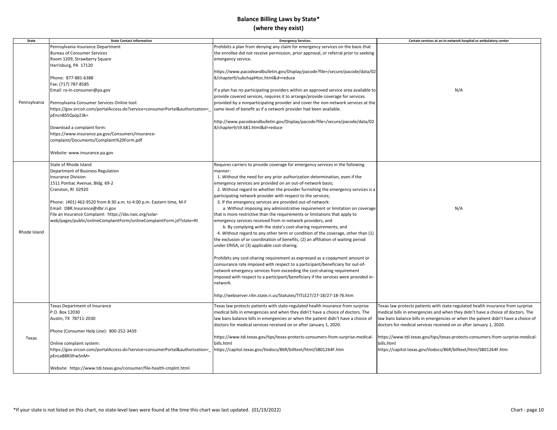| State        | <b>State Contact Information</b>                                             | <b>Emergency Services</b>                                                                       | Certain services at an in-network hospital or ambulatory center                   |
|--------------|------------------------------------------------------------------------------|-------------------------------------------------------------------------------------------------|-----------------------------------------------------------------------------------|
|              | Pennsylvania Insurance Department                                            | Prohibits a plan from denying any claim for emergency services on the basis that                |                                                                                   |
|              | <b>Bureau of Consumer Services</b>                                           | the enrollee did not receive permission, prior approval, or referral prior to seeking           |                                                                                   |
|              | Room 1209, Strawberry Square                                                 | emergency service.                                                                              |                                                                                   |
|              | Harrisburg, PA 17120                                                         |                                                                                                 |                                                                                   |
|              |                                                                              | https://www.pacodeandbulletin.gov/Display/pacode?file=/secure/pacode/data/02                    |                                                                                   |
|              | Phone: 877-881-6388                                                          | 8/chapter9/subchapHtoc.html&d=reduce                                                            |                                                                                   |
|              | Fax: (717) 787-8585                                                          |                                                                                                 |                                                                                   |
|              | Email: ra-in-consumer@pa.gov                                                 | If a plan has no participating providers within an approved service area available to           | N/A                                                                               |
|              |                                                                              | provide covered services, requires it to arrange/provide coverage for services                  |                                                                                   |
| Pennsylvania | Pennsylvania Consumer Services Online tool:                                  | provided by a nonparticipating provider and cover the non-network services at the               |                                                                                   |
|              | https://gov.sircon.com/portalAccess.do?service=consumerPortal&authorization= | same level of benefit as if a network provider had been available.                              |                                                                                   |
|              | pEncnBS5QaJp23k=                                                             |                                                                                                 |                                                                                   |
|              |                                                                              | http://www.pacodeandbulletin.gov/Display/pacode?file=/secure/pacode/data/02                     |                                                                                   |
|              | Download a complaint form:                                                   | 8/chapter9/s9.681.html&d=reduce                                                                 |                                                                                   |
|              | https://www.insurance.pa.gov/Consumers/insurance-                            |                                                                                                 |                                                                                   |
|              | complaint/Documents/Complaint%20Form.pdf                                     |                                                                                                 |                                                                                   |
|              |                                                                              |                                                                                                 |                                                                                   |
|              | Website: www.insurance.pa.gov                                                |                                                                                                 |                                                                                   |
|              |                                                                              |                                                                                                 |                                                                                   |
|              | State of Rhode Island                                                        | Requires carriers to provide coverage for emergency services in the following                   |                                                                                   |
|              | Department of Business Regulation                                            | manner:                                                                                         |                                                                                   |
|              | <b>Insurance Division</b>                                                    | 1. Without the need for any prior authorization determination, even if the                      |                                                                                   |
|              | 1511 Pontiac Avenue, Bldg. 69-2                                              | emergency services are provided on an out-of-network basis;                                     |                                                                                   |
|              | Cranston, RI 02920                                                           | 2. Without regard to whether the provider furnishing the emergency services is a                |                                                                                   |
|              |                                                                              | participating network provider with respect to the services;                                    |                                                                                   |
|              | Phone: (401) 462-9520 from 8:30 a.m. to 4:00 p.m. Eastern time, M-F          | 3. If the emergency services are provided out-of-network:                                       |                                                                                   |
|              | Email: DBR.Insurance@dbr.ri.gov                                              | a. Without imposing any administrative requirement or limitation on coverage                    | N/A                                                                               |
|              | File an Insurance Complaint: https://sbs.naic.org/solar-                     | that is more restrictive than the requirements or limitations that apply to                     |                                                                                   |
|              | web/pages/public/onlineComplaintForm/onlineComplaintForm.jsf?state=RI        | emergency services received from in-network providers, and                                      |                                                                                   |
| Rhode Island |                                                                              | b. By complying with the state's cost-sharing requirements; and                                 |                                                                                   |
|              |                                                                              | 4. Without regard to any other term or condition of the coverage, other than (1)                |                                                                                   |
|              |                                                                              | the exclusion of or coordination of benefits, (2) an affiliation of waiting period              |                                                                                   |
|              |                                                                              | under ERISA, or (3) applicable cost-sharing.                                                    |                                                                                   |
|              |                                                                              |                                                                                                 |                                                                                   |
|              |                                                                              | Prohibits any cost-sharing requirement as expressed as a copayment amount or                    |                                                                                   |
|              |                                                                              | coinsurance rate imposed with respect to a participant/beneficiary for out-of-                  |                                                                                   |
|              |                                                                              | network emergency services from exceeding the cost-sharing requirement                          |                                                                                   |
|              |                                                                              | imposed with respect to a participant/beneficiary if the services were provided in-<br>network. |                                                                                   |
|              |                                                                              |                                                                                                 |                                                                                   |
|              |                                                                              | http://webserver.rilin.state.ri.us/Statutes/TITLE27/27-18/27-18-76.htm                          |                                                                                   |
|              |                                                                              |                                                                                                 |                                                                                   |
|              | Texas Department of Insurance                                                | Texas law protects patients with state-regulated health insurance from surprise                 | Texas law protects patients with state-regulated health insurance from surprise   |
|              | P.O. Box 12030                                                               | medical bills in emergencies and when they didn't have a choice of doctors. The                 | medical bills in emergencies and when they didn't have a choice of doctors. The   |
|              | Austin, TX 78711-2030                                                        | law bans balance bills in emergencies or when the patient didn't have a choice of               | law bans balance bills in emergencies or when the patient didn't have a choice of |
|              |                                                                              | doctors for medical services received on or after January 1, 2020.                              | doctors for medical services received on or after January 1, 2020.                |
|              | Phone (Consumer Help Line): 800-252-3439                                     |                                                                                                 |                                                                                   |
| Texas        |                                                                              | https://www.tdi.texas.gov/tips/texas-protects-consumers-from-surprise-medical-                  | https://www.tdi.texas.gov/tips/texas-protects-consumers-from-surprise-medical-    |
|              | Online complaint system:                                                     | bills.html                                                                                      | bills.html                                                                        |
|              | https://gov.sircon.com/portalAccess.do?service=consumerPortal&authorization= | https://capitol.texas.gov/tlodocs/86R/billtext/html/SB01264F.htm                                | https://capitol.texas.gov/tlodocs/86R/billtext/html/SB01264F.htm                  |
|              | pEncaB8R3frwSnM=                                                             |                                                                                                 |                                                                                   |
|              | Website: https://www.tdi.texas.gov/consumer/file-health-cmplnt.html          |                                                                                                 |                                                                                   |
|              |                                                                              |                                                                                                 |                                                                                   |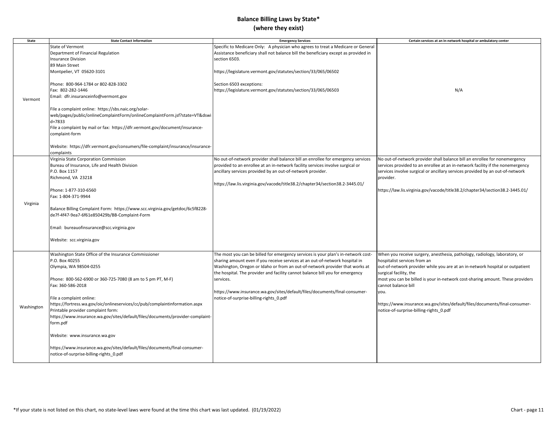| State<br><b>State Contact Information</b><br><b>Emergency Services</b><br>Certain services at an in-network hospital or ambulatory center<br>Specific to Medicare Only: A physician who agrees to treat a Medicare or General<br>State of Vermont<br>Assistance beneficiary shall not balance bill the beneficiary except as provided in<br>Department of Financial Regulation<br>Insurance Division<br>section 6503.<br>89 Main Street<br>1ttps://legislature.vermont.gov/statutes/section/33/065/06502<br>Montpelier, VT 05620-3101<br>Phone: 800-964-1784 or 802-828-3302<br>Section 6503 exceptions:<br>N/A<br>https://legislature.vermont.gov/statutes/section/33/065/06503<br>Fax: 802-282-1446<br>Email: dfr.insuranceinfo@vermont.gov<br>Vermont<br>File a complaint online: https://sbs.naic.org/solar-<br>web/pages/public/onlineComplaintForm/onlineComplaintForm.jsf?state=VT&dswi |  |
|------------------------------------------------------------------------------------------------------------------------------------------------------------------------------------------------------------------------------------------------------------------------------------------------------------------------------------------------------------------------------------------------------------------------------------------------------------------------------------------------------------------------------------------------------------------------------------------------------------------------------------------------------------------------------------------------------------------------------------------------------------------------------------------------------------------------------------------------------------------------------------------------|--|
|                                                                                                                                                                                                                                                                                                                                                                                                                                                                                                                                                                                                                                                                                                                                                                                                                                                                                                |  |
|                                                                                                                                                                                                                                                                                                                                                                                                                                                                                                                                                                                                                                                                                                                                                                                                                                                                                                |  |
|                                                                                                                                                                                                                                                                                                                                                                                                                                                                                                                                                                                                                                                                                                                                                                                                                                                                                                |  |
|                                                                                                                                                                                                                                                                                                                                                                                                                                                                                                                                                                                                                                                                                                                                                                                                                                                                                                |  |
|                                                                                                                                                                                                                                                                                                                                                                                                                                                                                                                                                                                                                                                                                                                                                                                                                                                                                                |  |
|                                                                                                                                                                                                                                                                                                                                                                                                                                                                                                                                                                                                                                                                                                                                                                                                                                                                                                |  |
|                                                                                                                                                                                                                                                                                                                                                                                                                                                                                                                                                                                                                                                                                                                                                                                                                                                                                                |  |
|                                                                                                                                                                                                                                                                                                                                                                                                                                                                                                                                                                                                                                                                                                                                                                                                                                                                                                |  |
|                                                                                                                                                                                                                                                                                                                                                                                                                                                                                                                                                                                                                                                                                                                                                                                                                                                                                                |  |
|                                                                                                                                                                                                                                                                                                                                                                                                                                                                                                                                                                                                                                                                                                                                                                                                                                                                                                |  |
| d=7833                                                                                                                                                                                                                                                                                                                                                                                                                                                                                                                                                                                                                                                                                                                                                                                                                                                                                         |  |
| File a complaint by mail or fax: https://dfr.vermont.gov/document/insurance-                                                                                                                                                                                                                                                                                                                                                                                                                                                                                                                                                                                                                                                                                                                                                                                                                   |  |
| complaint-form                                                                                                                                                                                                                                                                                                                                                                                                                                                                                                                                                                                                                                                                                                                                                                                                                                                                                 |  |
|                                                                                                                                                                                                                                                                                                                                                                                                                                                                                                                                                                                                                                                                                                                                                                                                                                                                                                |  |
| Website: https://dfr.vermont.gov/consumers/file-complaint/insurance/insurance-<br>complaints                                                                                                                                                                                                                                                                                                                                                                                                                                                                                                                                                                                                                                                                                                                                                                                                   |  |
| Virginia State Corporation Commission<br>No out-of-network provider shall balance bill an enrollee for emergency services<br>No out-of-network provider shall balance bill an enrollee for nonemergency                                                                                                                                                                                                                                                                                                                                                                                                                                                                                                                                                                                                                                                                                        |  |
| Bureau of Insurance, Life and Health Division<br>provided to an enrollee at an in-network facility services involve surgical or<br>services provided to an enrollee at an in-network facility if the nonemergency                                                                                                                                                                                                                                                                                                                                                                                                                                                                                                                                                                                                                                                                              |  |
| ancillary services provided by an out-of-network provider.<br>services involve surgical or ancillary services provided by an out-of-network<br>P.O. Box 1157                                                                                                                                                                                                                                                                                                                                                                                                                                                                                                                                                                                                                                                                                                                                   |  |
| Richmond, VA 23218<br>provider.                                                                                                                                                                                                                                                                                                                                                                                                                                                                                                                                                                                                                                                                                                                                                                                                                                                                |  |
| /10.13445.01/https://law.lis.virginia.gov/vacode/title38.2/chapter34/section38.2-3445                                                                                                                                                                                                                                                                                                                                                                                                                                                                                                                                                                                                                                                                                                                                                                                                          |  |
| Phone: 1-877-310-6560<br>https://law.lis.virginia.gov/vacode/title38.2/chapter34/section38.2-3445.01/<br>Fax: 1-804-371-9944                                                                                                                                                                                                                                                                                                                                                                                                                                                                                                                                                                                                                                                                                                                                                                   |  |
| Virginia                                                                                                                                                                                                                                                                                                                                                                                                                                                                                                                                                                                                                                                                                                                                                                                                                                                                                       |  |
| Balance Billing Complaint Form: https://www.scc.virginia.gov/getdoc/6c5f8228-                                                                                                                                                                                                                                                                                                                                                                                                                                                                                                                                                                                                                                                                                                                                                                                                                  |  |
| de7f-4f47-9ea7-6f61e850429b/BB-Complaint-Form                                                                                                                                                                                                                                                                                                                                                                                                                                                                                                                                                                                                                                                                                                                                                                                                                                                  |  |
|                                                                                                                                                                                                                                                                                                                                                                                                                                                                                                                                                                                                                                                                                                                                                                                                                                                                                                |  |
| Email: bureauofinsurance@scc.virginia.gov                                                                                                                                                                                                                                                                                                                                                                                                                                                                                                                                                                                                                                                                                                                                                                                                                                                      |  |
| Website: scc.virginia.gov                                                                                                                                                                                                                                                                                                                                                                                                                                                                                                                                                                                                                                                                                                                                                                                                                                                                      |  |
|                                                                                                                                                                                                                                                                                                                                                                                                                                                                                                                                                                                                                                                                                                                                                                                                                                                                                                |  |
| Washington State Office of the Insurance Commissioner<br>The most you can be billed for emergency services is your plan's in-network cost-<br>When you receive surgery, anesthesia, pathology, radiology, laboratory, or                                                                                                                                                                                                                                                                                                                                                                                                                                                                                                                                                                                                                                                                       |  |
| sharing amount even if you receive services at an out-of-network hospital in<br>P.O. Box 40255<br>hospitalist services from an                                                                                                                                                                                                                                                                                                                                                                                                                                                                                                                                                                                                                                                                                                                                                                 |  |
| Washington, Oregon or Idaho or from an out-of-network provider that works at<br>Olympia, WA 98504-0255<br>out-of-network provider while you are at an in-network hospital or outpatient                                                                                                                                                                                                                                                                                                                                                                                                                                                                                                                                                                                                                                                                                                        |  |
| the hospital. The provider and facility cannot balance bill you for emergency<br>surgical facility, the                                                                                                                                                                                                                                                                                                                                                                                                                                                                                                                                                                                                                                                                                                                                                                                        |  |
| Phone: 800-562-6900 or 360-725-7080 (8 am to 5 pm PT, M-F)<br>services.<br>most you can be billed is your in-network cost-sharing amount. These providers<br>Fax: 360-586-2018<br>cannot balance bill                                                                                                                                                                                                                                                                                                                                                                                                                                                                                                                                                                                                                                                                                          |  |
| https://www.insurance.wa.gov/sites/default/files/documents/final-consumer-<br>you.                                                                                                                                                                                                                                                                                                                                                                                                                                                                                                                                                                                                                                                                                                                                                                                                             |  |
| notice-of-surprise-billing-rights_0.pdf<br>File a complaint online:                                                                                                                                                                                                                                                                                                                                                                                                                                                                                                                                                                                                                                                                                                                                                                                                                            |  |
| https://fortress.wa.gov/oic/onlineservices/cc/pub/complaintinformation.aspx<br>https://www.insurance.wa.gov/sites/default/files/documents/final-consumer-<br>Washington                                                                                                                                                                                                                                                                                                                                                                                                                                                                                                                                                                                                                                                                                                                        |  |
| Printable provider complaint form:<br>notice-of-surprise-billing-rights_0.pdf                                                                                                                                                                                                                                                                                                                                                                                                                                                                                                                                                                                                                                                                                                                                                                                                                  |  |
| https://www.insurance.wa.gov/sites/default/files/documents/provider-complaint-                                                                                                                                                                                                                                                                                                                                                                                                                                                                                                                                                                                                                                                                                                                                                                                                                 |  |
| form.pdf                                                                                                                                                                                                                                                                                                                                                                                                                                                                                                                                                                                                                                                                                                                                                                                                                                                                                       |  |
| Website: www.insurance.wa.gov                                                                                                                                                                                                                                                                                                                                                                                                                                                                                                                                                                                                                                                                                                                                                                                                                                                                  |  |
|                                                                                                                                                                                                                                                                                                                                                                                                                                                                                                                                                                                                                                                                                                                                                                                                                                                                                                |  |
| https://www.insurance.wa.gov/sites/default/files/documents/final-consumer-                                                                                                                                                                                                                                                                                                                                                                                                                                                                                                                                                                                                                                                                                                                                                                                                                     |  |
| notice-of-surprise-billing-rights 0.pdf                                                                                                                                                                                                                                                                                                                                                                                                                                                                                                                                                                                                                                                                                                                                                                                                                                                        |  |